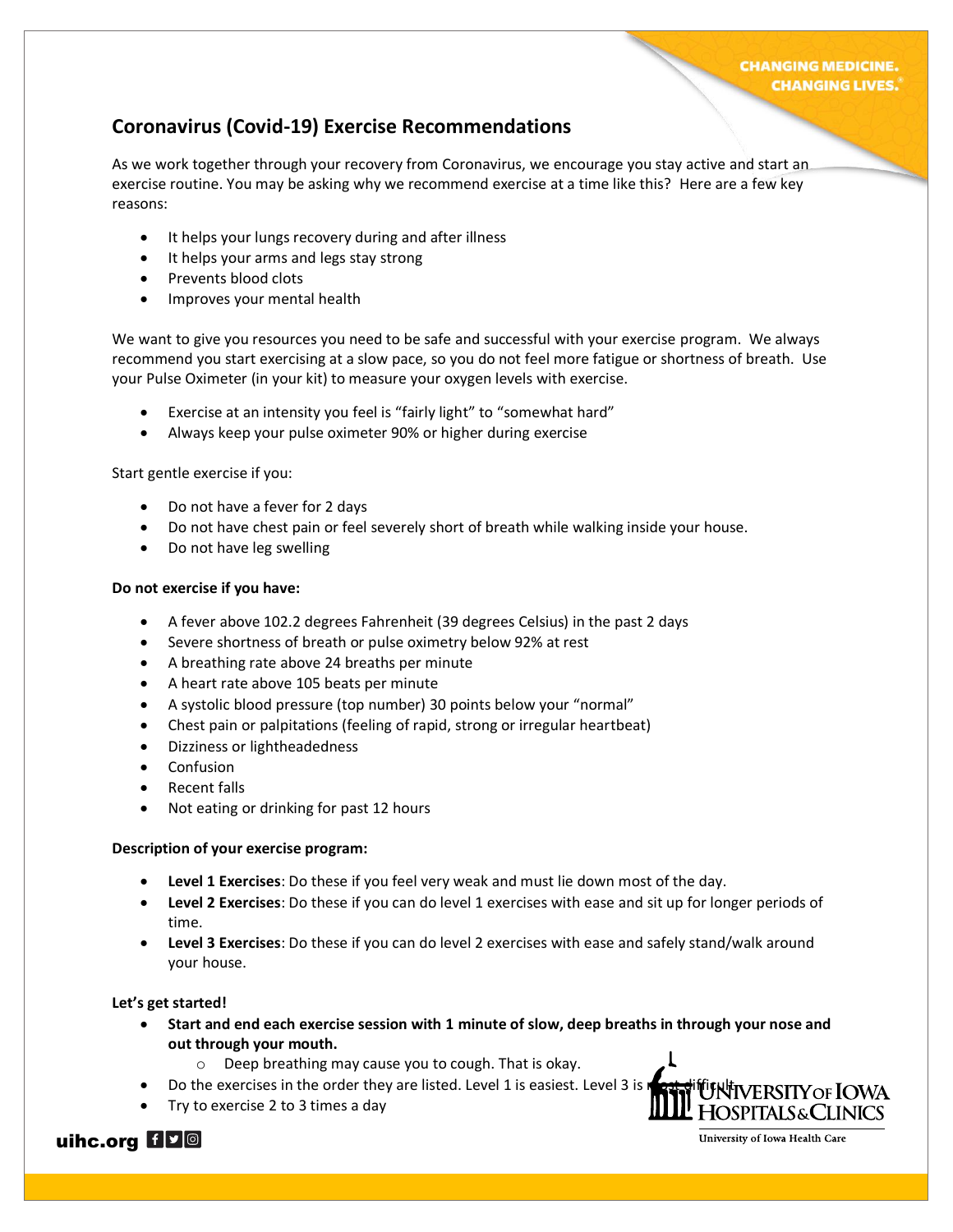## **Coronavirus (Covid-19) Exercise Recommendations**

As we work together through your recovery from Coronavirus, we encourage you stay active and start an exercise routine. You may be asking why we recommend exercise at a time like this? Here are a few key reasons:

- It helps your lungs recovery during and after illness
- It helps your arms and legs stay strong
- Prevents blood clots
- Improves your mental health

We want to give you resources you need to be safe and successful with your exercise program. We always recommend you start exercising at a slow pace, so you do not feel more fatigue or shortness of breath. Use your Pulse Oximeter (in your kit) to measure your oxygen levels with exercise.

- Exercise at an intensity you feel is "fairly light" to "somewhat hard"
- Always keep your pulse oximeter 90% or higher during exercise

Start gentle exercise if you:

- Do not have a fever for 2 days
- Do not have chest pain or feel severely short of breath while walking inside your house.
- Do not have leg swelling

#### **Do not exercise if you have:**

- A fever above 102.2 degrees Fahrenheit (39 degrees Celsius) in the past 2 days
- Severe shortness of breath or pulse oximetry below 92% at rest
- A breathing rate above 24 breaths per minute
- A heart rate above 105 beats per minute
- A systolic blood pressure (top number) 30 points below your "normal"
- Chest pain or palpitations (feeling of rapid, strong or irregular heartbeat)
- Dizziness or lightheadedness
- **Confusion**
- Recent falls
- Not eating or drinking for past 12 hours

#### **Description of your exercise program:**

- **Level 1 Exercises**: Do these if you feel very weak and must lie down most of the day.
- **Level 2 Exercises**: Do these if you can do level 1 exercises with ease and sit up for longer periods of time.
- **Level 3 Exercises**: Do these if you can do level 2 exercises with ease and safely stand/walk around your house.

#### **Let's get started!**

- **Start and end each exercise session with 1 minute of slow, deep breaths in through your nose and out through your mouth.**
	- o Deep breathing may cause you to cough. That is okay.
- Do the exercises in the order they are listed. Level 1 is easiest. Level 3 is matrix if if  $\mu$  the NSITY OF IOWA
- Try to exercise 2 to 3 times a day



## uihc.org **HP**O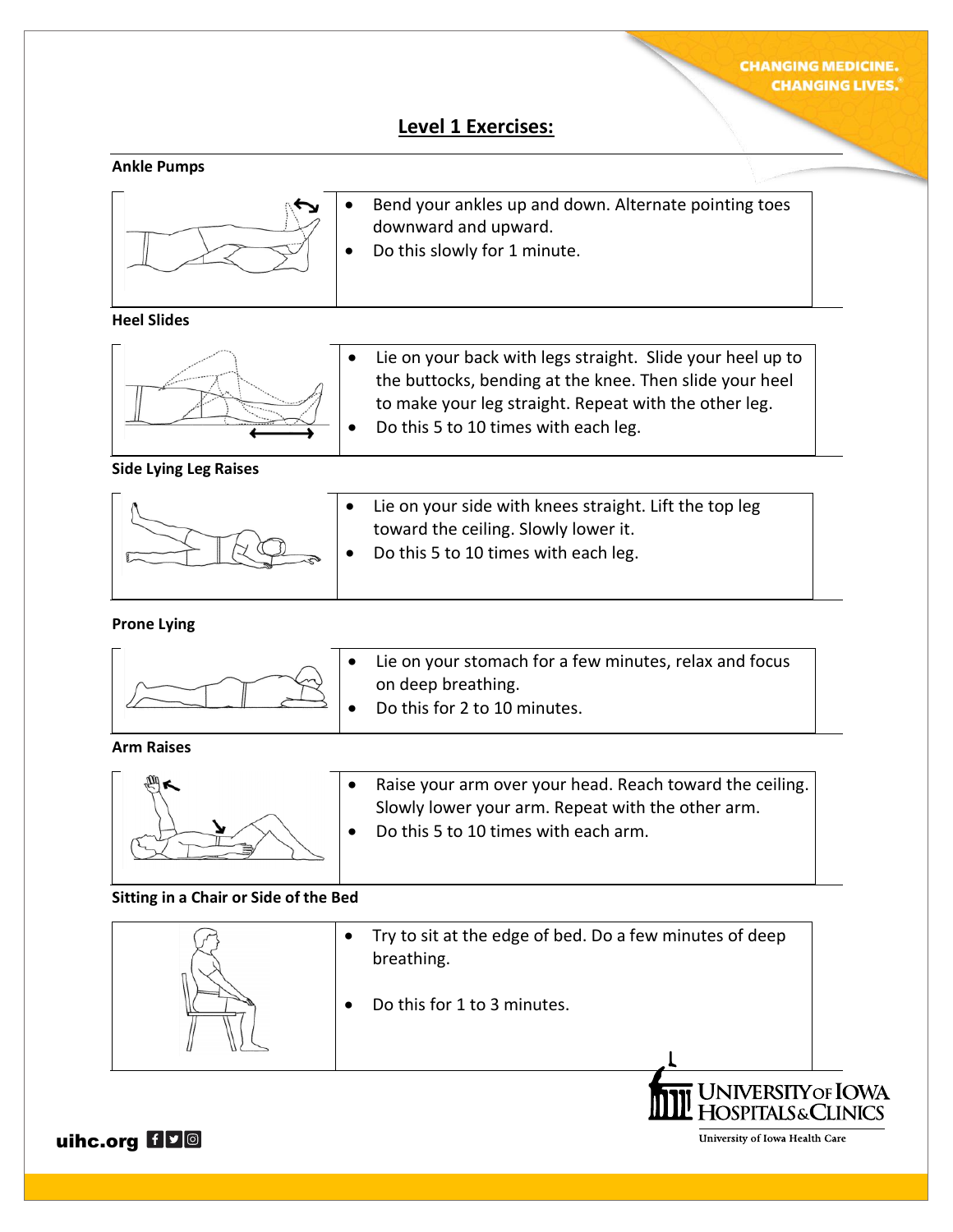## **Level 1 Exercises:**

#### **Ankle Pumps**



- Bend your ankles up and down. Alternate pointing toes downward and upward.
- Do this slowly for 1 minute.

## **Heel Slides**



Lie on your back with legs straight. Slide your heel up to the buttocks, bending at the knee. Then slide your heel to make your leg straight. Repeat with the other leg. • Do this 5 to 10 times with each leg.

#### **Side Lying Leg Raises**



## **Prone Lying**



Lie on your stomach for a few minutes, relax and focus on deep breathing.

Do this for 2 to 10 minutes.

toward the ceiling. Slowly lower it. • Do this 5 to 10 times with each leg.

#### **Arm Raises**



• Raise your arm over your head. Reach toward the ceiling. Slowly lower your arm. Repeat with the other arm. • Do this 5 to 10 times with each arm.

## **Sitting in a Chair or Side of the Bed**

|  | Try to sit at the edge of bed. Do a few minutes of deep<br>breathing. |                            |
|--|-----------------------------------------------------------------------|----------------------------|
|  | Do this for 1 to 3 minutes.                                           |                            |
|  |                                                                       |                            |
|  | 'UNIVERSITY OF IOWA                                                   | <b>SPITALS&amp;CLINICS</b> |

uihc.org HVO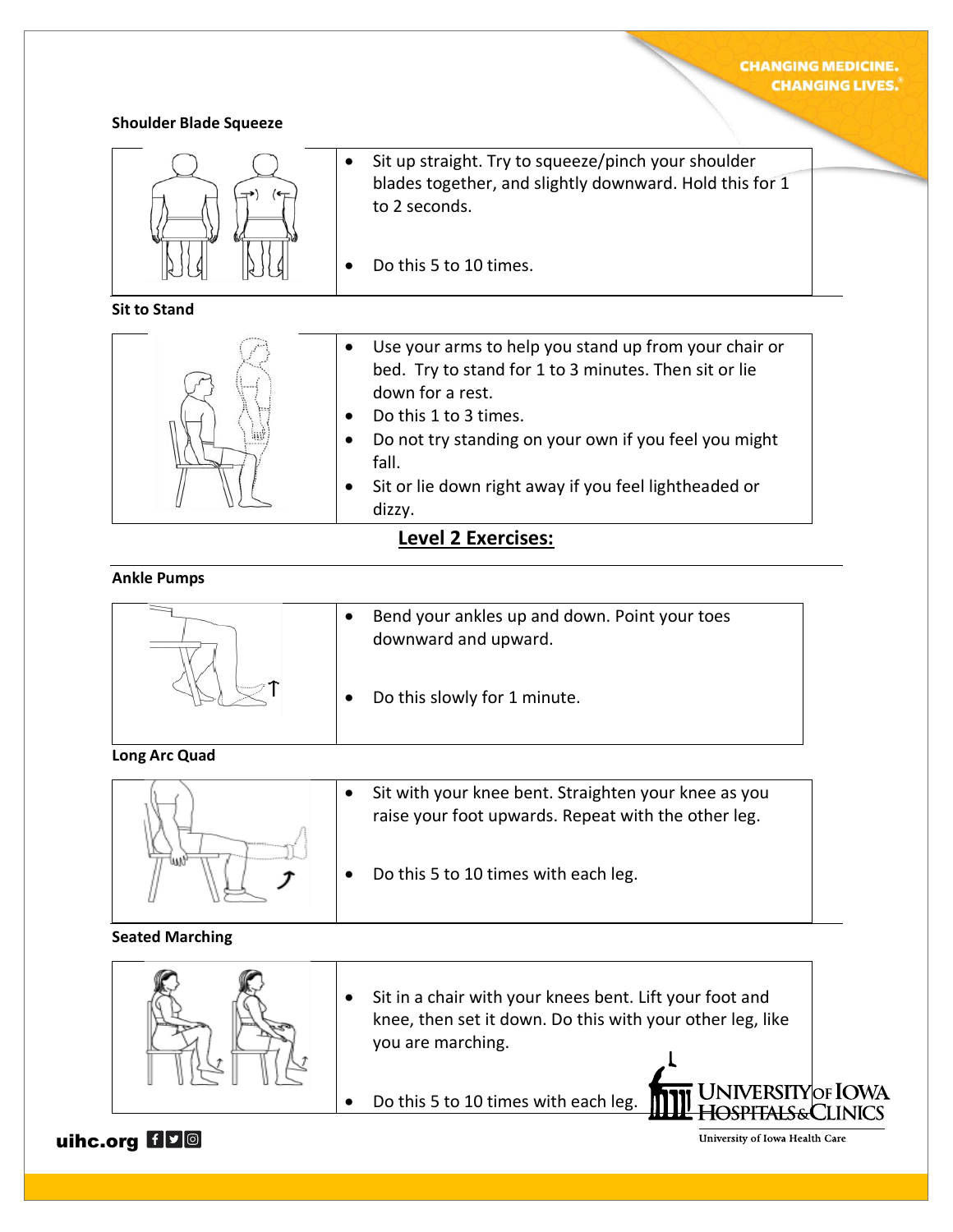## **CHANGING MEDICINE. CHANGING LIVES.**

#### **Shoulder Blade Squeeze**



**Sit to Stand**



• Sit up straight. Try to squeeze/pinch your shoulder blades together, and slightly downward. Hold this for 1 to 2 seconds.

Do this 5 to 10 times.

- Use your arms to help you stand up from your chair or bed. Try to stand for 1 to 3 minutes. Then sit or lie down for a rest.
- Do this 1 to 3 times.
- Do not try standing on your own if you feel you might fall.
- Sit or lie down right away if you feel lightheaded or dizzy.

## **Level 2 Exercises:**

## **Ankle Pumps**

- Bend your ankles up and down. Point your toes downward and upward.
- Do this slowly for 1 minute.

## **Long Arc Quad**



- Sit with your knee bent. Straighten your knee as you raise your foot upwards. Repeat with the other leg.
- Do this 5 to 10 times with each leg.

## **Seated Marching**



- Sit in a chair with your knees bent. Lift your foot and knee, then set it down. Do this with your other leg, like you are marching.
- Do this 5 to 10 times with each leg.

uihc.org HVO

University of Iowa Health Care

JNIVERSITY|OF **IO**WA <del>HOSPITALS&</del>CLINICS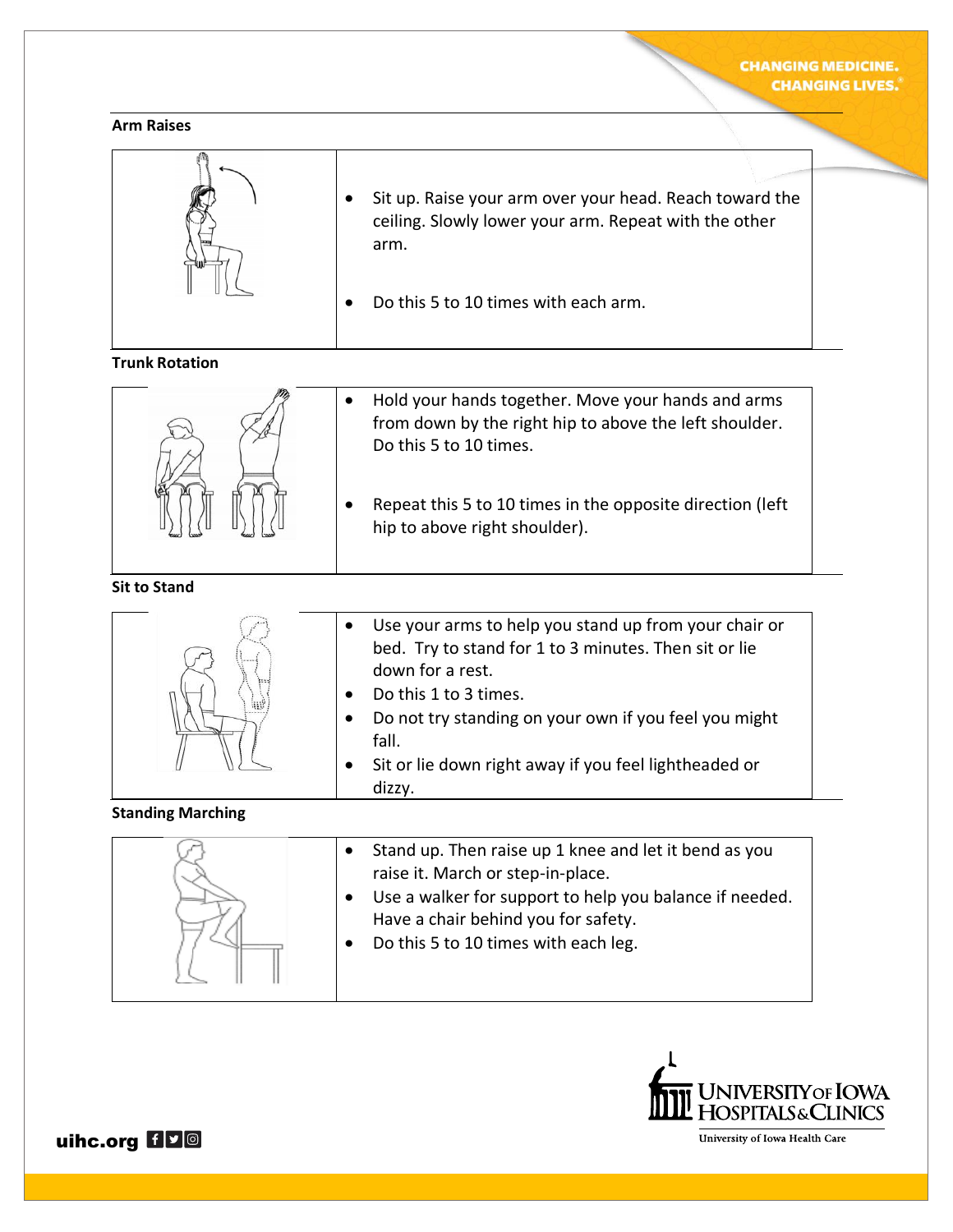#### **Arm Raises**

| Sit up. Raise your arm over your head. Reach toward the<br>ceiling. Slowly lower your arm. Repeat with the other<br>arm. |
|--------------------------------------------------------------------------------------------------------------------------|
| Do this 5 to 10 times with each arm.                                                                                     |

## **Trunk Rotation**



- Hold your hands together. Move your hands and arms from down by the right hip to above the left shoulder. Do this 5 to 10 times.
- Repeat this 5 to 10 times in the opposite direction (left hip to above right shoulder).

## **Sit to Stand**



- Use your arms to help you stand up from your chair or bed. Try to stand for 1 to 3 minutes. Then sit or lie down for a rest.
- Do this 1 to 3 times.
- Do not try standing on your own if you feel you might fall.
- Sit or lie down right away if you feel lightheaded or dizzy.

## **Standing Marching**





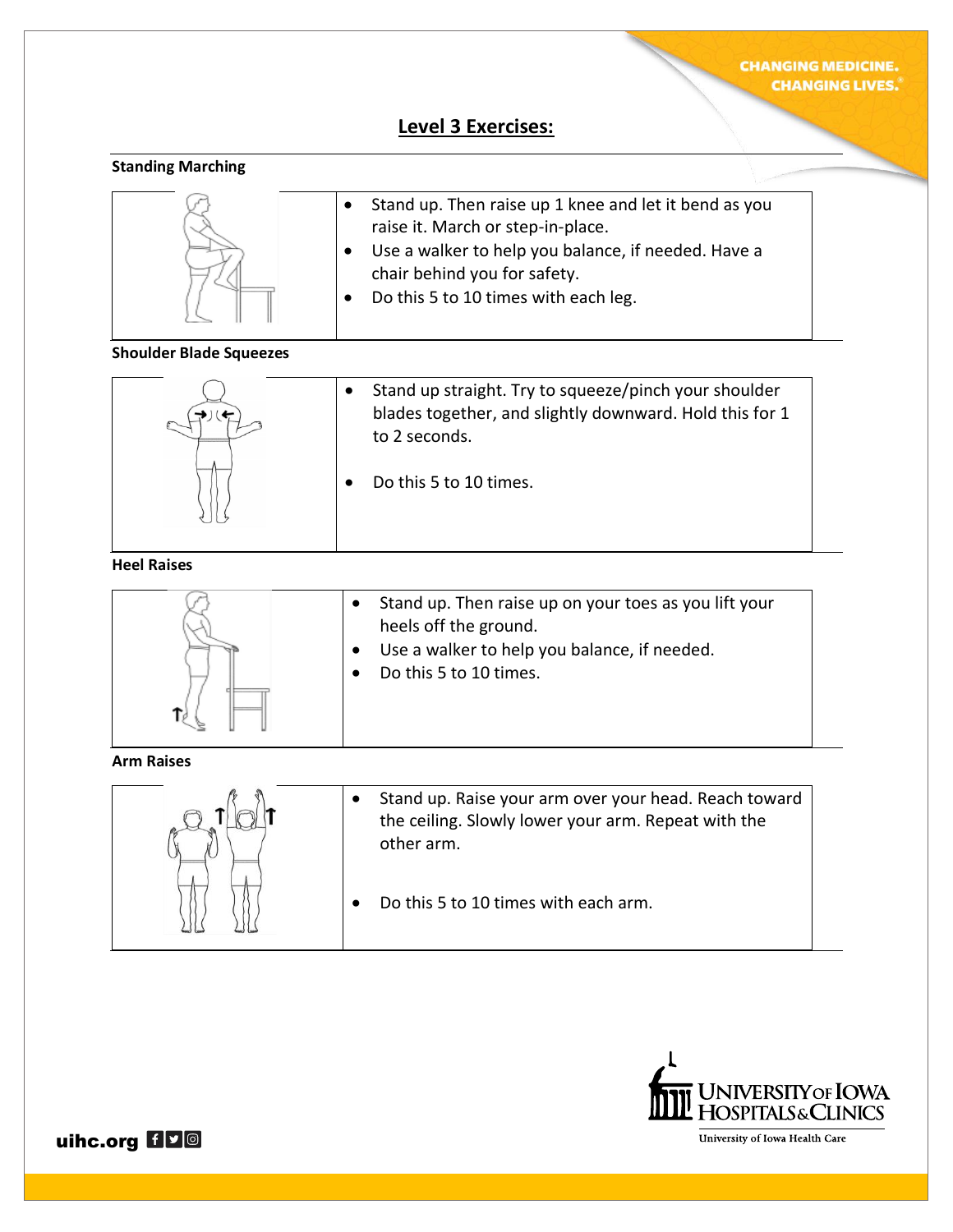# **Level 3 Exercises:**

## **Standing Marching**



#### **Shoulder Blade Squeezes**



| • Stand up straight. Try to squeeze/pinch your shoulder |
|---------------------------------------------------------|
| blades together, and slightly downward. Hold this for 1 |
| to 2 seconds.                                           |

• Do this 5 to 10 times.

## **Heel Raises**



#### **Arm Raises**



• Stand up. Raise your arm over your head. Reach toward the ceiling. Slowly lower your arm. Repeat with the other arm.

• Do this 5 to 10 times with each arm.